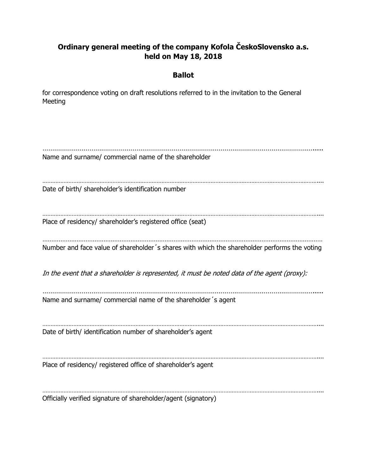## **Ordinary general meeting of the company Kofola ČeskoSlovensko a.s. held on May 18, 2018**

## **Ballot**

for correspondence voting on draft resolutions referred to in the invitation to the General Meeting

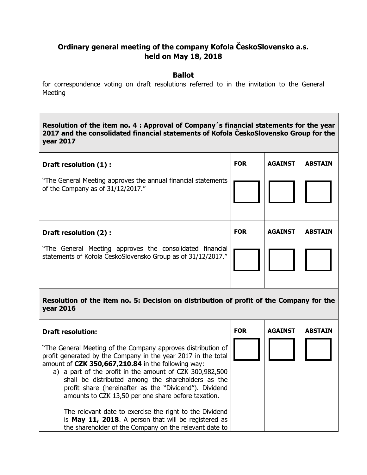## **Ordinary general meeting of the company Kofola ČeskoSlovensko a.s. held on May 18, 2018**

## **Ballot**

for correspondence voting on draft resolutions referred to in the invitation to the General Meeting

**Resolution of the item no. 4 : Approval of Company´s financial statements for the year 2017 and the consolidated financial statements of Kofola ČeskoSlovensko Group for the year 2017**

| Draft resolution (1) :                                                                                                   | <b>FOR</b> | <b>AGAINST</b> | <b>ABSTAIN</b> |
|--------------------------------------------------------------------------------------------------------------------------|------------|----------------|----------------|
| "The General Meeting approves the annual financial statements<br>of the Company as of 31/12/2017."                       |            |                |                |
| Draft resolution (2) :                                                                                                   | <b>FOR</b> | <b>AGAINST</b> | <b>ABSTAIN</b> |
| "The General Meeting approves the consolidated financial<br>statements of Kofola ČeskoSlovensko Group as of 31/12/2017." |            |                |                |

**Resolution of the item no. 5: Decision on distribution of profit of the Company for the year 2016**

| <b>Draft resolution:</b>                                                                                                                                                                                                                                                                                                                                                                                               | <b>FOR</b> | <b>AGAINST</b> | <b>ABSTAIN</b> |
|------------------------------------------------------------------------------------------------------------------------------------------------------------------------------------------------------------------------------------------------------------------------------------------------------------------------------------------------------------------------------------------------------------------------|------------|----------------|----------------|
| "The General Meeting of the Company approves distribution of<br>profit generated by the Company in the year 2017 in the total<br>amount of CZK 350,667,210.84 in the following way:<br>a) a part of the profit in the amount of CZK 300,982,500<br>shall be distributed among the shareholders as the<br>profit share (hereinafter as the "Dividend"). Dividend<br>amounts to CZK 13,50 per one share before taxation. |            |                |                |
| The relevant date to exercise the right to the Dividend<br>is May 11, 2018. A person that will be registered as<br>the shareholder of the Company on the relevant date to                                                                                                                                                                                                                                              |            |                |                |